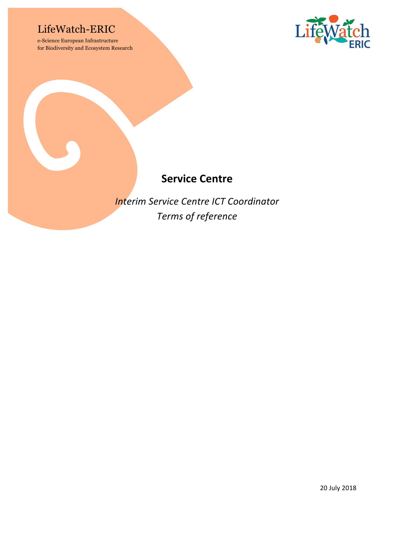## LifeWatch-ERIC

e-Science European Infrastructure for Biodiversity and Ecosystem Research



### **Service Centre**

*Interim Service Centre ICT Coordinator Terms of reference*

20 July 2018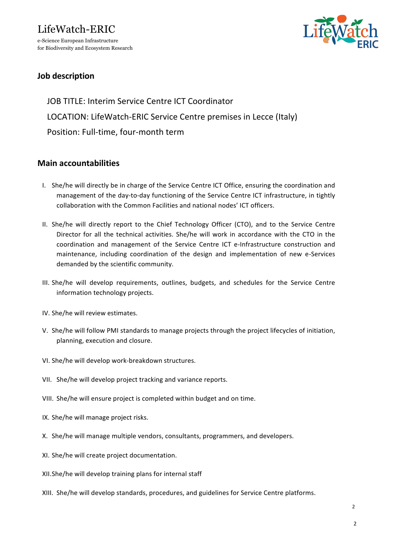## LifeWatch-ERIC e-Science European Infrastructure

for Biodiversity and Ecosystem Research



### **Job description**

JOB TITLE: Interim Service Centre ICT Coordinator LOCATION: LifeWatch-ERIC Service Centre premises in Lecce (Italy) Position: Full-time, four-month term

#### **Main accountabilities**

- I. She/he will directly be in charge of the Service Centre ICT Office, ensuring the coordination and management of the day-to-day functioning of the Service Centre ICT infrastructure, in tightly collaboration with the Common Facilities and national nodes' ICT officers.
- II. She/he will directly report to the Chief Technology Officer (CTO), and to the Service Centre Director for all the technical activities. She/he will work in accordance with the CTO in the coordination and management of the Service Centre ICT e-Infrastructure construction and maintenance, including coordination of the design and implementation of new e-Services demanded by the scientific community.
- III. She/he will develop requirements, outlines, budgets, and schedules for the Service Centre information technology projects.
- IV. She/he will review estimates.
- V. She/he will follow PMI standards to manage projects through the project lifecycles of initiation, planning, execution and closure.
- VI. She/he will develop work-breakdown structures.
- VII. She/he will develop project tracking and variance reports.
- VIII. She/he will ensure project is completed within budget and on time.
- IX. She/he will manage project risks.
- X. She/he will manage multiple vendors, consultants, programmers, and developers.
- XI. She/he will create project documentation.
- XII.She/he will develop training plans for internal staff
- XIII. She/he will develop standards, procedures, and guidelines for Service Centre platforms.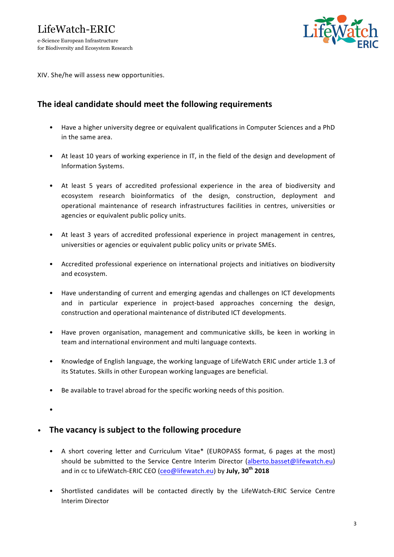for Biodiversity and Ecosystem Research



XIV. She/he will assess new opportunities.

#### The ideal candidate should meet the following requirements

- Have a higher university degree or equivalent qualifications in Computer Sciences and a PhD in the same area.
- At least 10 years of working experience in IT, in the field of the design and development of Information Systems.
- At least 5 years of accredited professional experience in the area of biodiversity and ecosystem research bioinformatics of the design, construction, deployment and operational maintenance of research infrastructures facilities in centres, universities or agencies or equivalent public policy units.
- At least 3 years of accredited professional experience in project management in centres, universities or agencies or equivalent public policy units or private SMEs.
- Accredited professional experience on international projects and initiatives on biodiversity and ecosystem.
- Have understanding of current and emerging agendas and challenges on ICT developments and in particular experience in project-based approaches concerning the design, construction and operational maintenance of distributed ICT developments.
- Have proven organisation, management and communicative skills, be keen in working in team and international environment and multi language contexts.
- Knowledge of English language, the working language of LifeWatch ERIC under article 1.3 of its Statutes. Skills in other European working languages are beneficial.
- Be available to travel abroad for the specific working needs of this position.
- •

#### • The vacancy is subject to the following procedure

- A short covering letter and Curriculum Vitae\* (EUROPASS format, 6 pages at the most) should be submitted to the Service Centre Interim Director (alberto.basset@lifewatch.eu) and in cc to LifeWatch-ERIC CEO (ceo@lifewatch.eu) by July, 30<sup>th</sup> 2018
- Shortlisted candidates will be contacted directly by the LifeWatch-ERIC Service Centre Interim Director